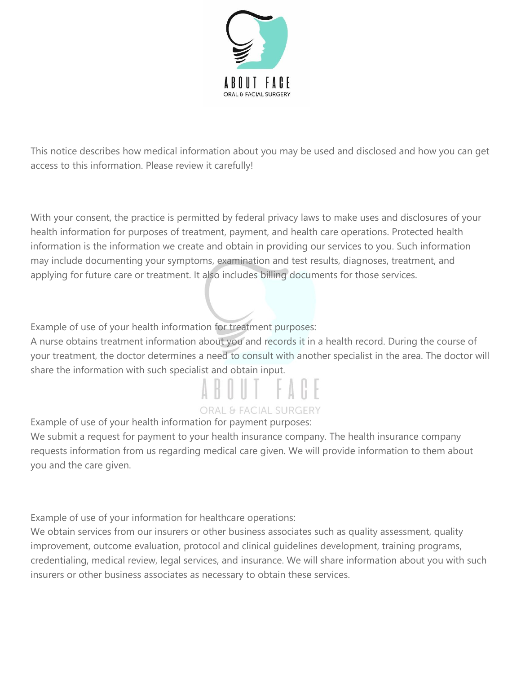

This notice describes how medical information about you may be used and disclosed and how you can get access to this information. Please review it carefully!

With your consent, the practice is permitted by federal privacy laws to make uses and disclosures of your health information for purposes of treatment, payment, and health care operations. Protected health information is the information we create and obtain in providing our services to you. Such information may include documenting your symptoms, examination and test results, diagnoses, treatment, and applying for future care or treatment. It also includes billing documents for those services.

Example of use of your health information for treatment purposes:

A nurse obtains treatment information about you and records it in a health record. During the course of your treatment, the doctor determines a need to consult with another specialist in the area. The doctor will share the information with such specialist and obtain input.

# **ORAL & FACIAL SURGERY**

Example of use of your health information for payment purposes:

We submit a request for payment to your health insurance company. The health insurance company requests information from us regarding medical care given. We will provide information to them about you and the care given.

Example of use of your information for healthcare operations:

We obtain services from our insurers or other business associates such as quality assessment, quality improvement, outcome evaluation, protocol and clinical guidelines development, training programs, credentialing, medical review, legal services, and insurance. We will share information about you with such insurers or other business associates as necessary to obtain these services.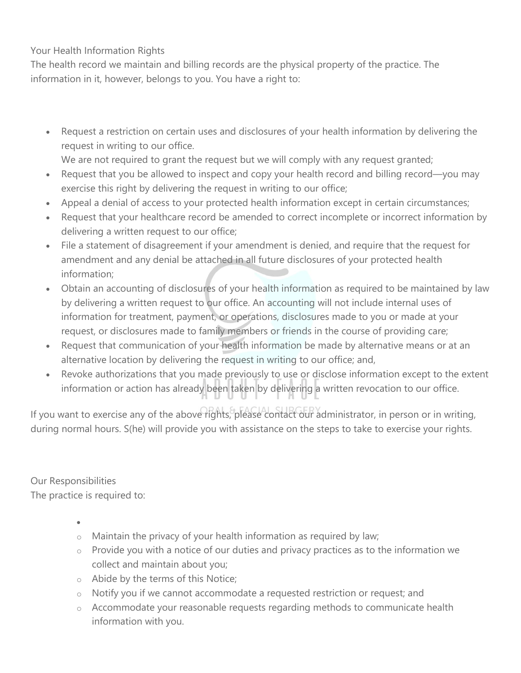Your Health Information Rights

The health record we maintain and billing records are the physical property of the practice. The information in it, however, belongs to you. You have a right to:

• Request a restriction on certain uses and disclosures of your health information by delivering the request in writing to our office.

We are not required to grant the request but we will comply with any request granted;

- Request that you be allowed to inspect and copy your health record and billing record—you may exercise this right by delivering the request in writing to our office;
- Appeal a denial of access to your protected health information except in certain circumstances;
- Request that your healthcare record be amended to correct incomplete or incorrect information by delivering a written request to our office;
- File a statement of disagreement if your amendment is denied, and require that the request for amendment and any denial be attached in all future disclosures of your protected health information;
- Obtain an accounting of disclosures of your health information as required to be maintained by law by delivering a written request to our office. An accounting will not include internal uses of information for treatment, payment, or operations, disclosures made to you or made at your request, or disclosures made to family members or friends in the course of providing care;
- Request that communication of your health information be made by alternative means or at an alternative location by delivering the request in writing to our office; and,
- Revoke authorizations that you made previously to use or disclose information except to the extent information or action has already been taken by delivering a written revocation to our office.

If you want to exercise any of the above rights, please contact our administrator, in person or in writing, during normal hours. S(he) will provide you with assistance on the steps to take to exercise your rights.

Our Responsibilities The practice is required to:

•

- $\circ$  Maintain the privacy of your health information as required by law;
- $\circ$  Provide you with a notice of our duties and privacy practices as to the information we collect and maintain about you;
- o Abide by the terms of this Notice;
- o Notify you if we cannot accommodate a requested restriction or request; and
- o Accommodate your reasonable requests regarding methods to communicate health information with you.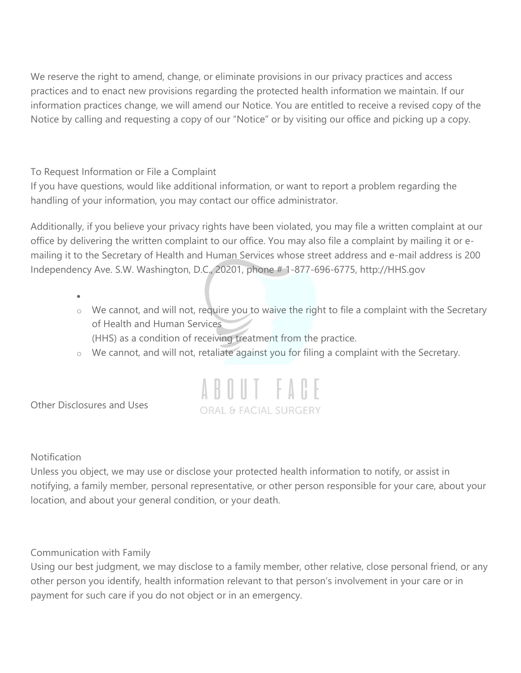We reserve the right to amend, change, or eliminate provisions in our privacy practices and access practices and to enact new provisions regarding the protected health information we maintain. If our information practices change, we will amend our Notice. You are entitled to receive a revised copy of the Notice by calling and requesting a copy of our "Notice" or by visiting our office and picking up a copy.

To Request Information or File a Complaint

If you have questions, would like additional information, or want to report a problem regarding the handling of your information, you may contact our office administrator.

Additionally, if you believe your privacy rights have been violated, you may file a written complaint at our office by delivering the written complaint to our office. You may also file a complaint by mailing it or emailing it to the Secretary of Health and Human Services whose street address and e-mail address is 200 Independency Ave. S.W. Washington, D.C., 20201, phone # 1-877-696-6775, http://HHS.gov

•

- o We cannot, and will not, require you to waive the right to file a complaint with the Secretary of Health and Human Services (HHS) as a condition of receiving treatment from the practice.
- o We cannot, and will not, retaliate against you for filing a complaint with the Secretary.



Other Disclosures and Uses

**Notification** 

Unless you object, we may use or disclose your protected health information to notify, or assist in notifying, a family member, personal representative, or other person responsible for your care, about your location, and about your general condition, or your death.

## Communication with Family

Using our best judgment, we may disclose to a family member, other relative, close personal friend, or any other person you identify, health information relevant to that person's involvement in your care or in payment for such care if you do not object or in an emergency.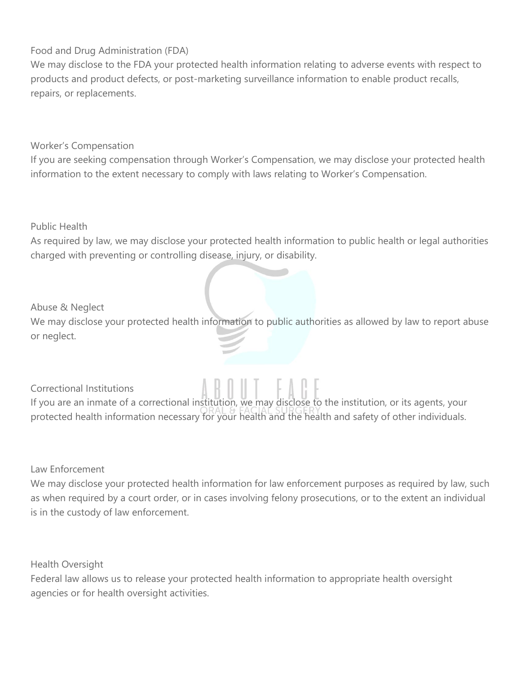## Food and Drug Administration (FDA)

We may disclose to the FDA your protected health information relating to adverse events with respect to products and product defects, or post-marketing surveillance information to enable product recalls, repairs, or replacements.

## Worker's Compensation

If you are seeking compensation through Worker's Compensation, we may disclose your protected health information to the extent necessary to comply with laws relating to Worker's Compensation.

Public Health

As required by law, we may disclose your protected health information to public health or legal authorities charged with preventing or controlling disease, injury, or disability.

#### Abuse & Neglect

We may disclose your protected health information to public authorities as allowed by law to report abuse or neglect.

Correctional Institutions

If you are an inmate of a correctional institution, we may disclose to the institution, or its agents, your protected health information necessary for your health and the health and safety of other individuals.

Law Enforcement

We may disclose your protected health information for law enforcement purposes as required by law, such as when required by a court order, or in cases involving felony prosecutions, or to the extent an individual is in the custody of law enforcement.

Health Oversight

Federal law allows us to release your protected health information to appropriate health oversight agencies or for health oversight activities.